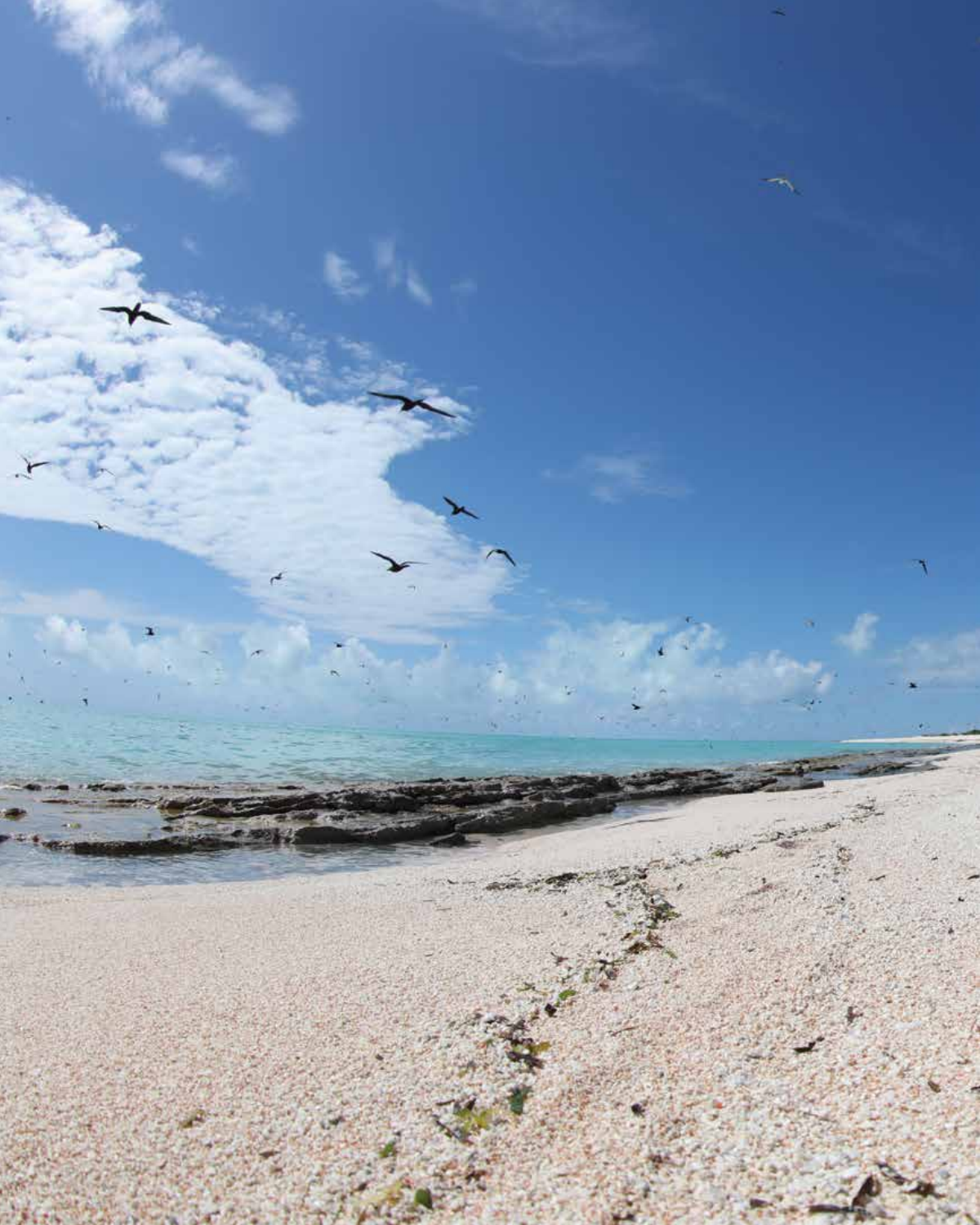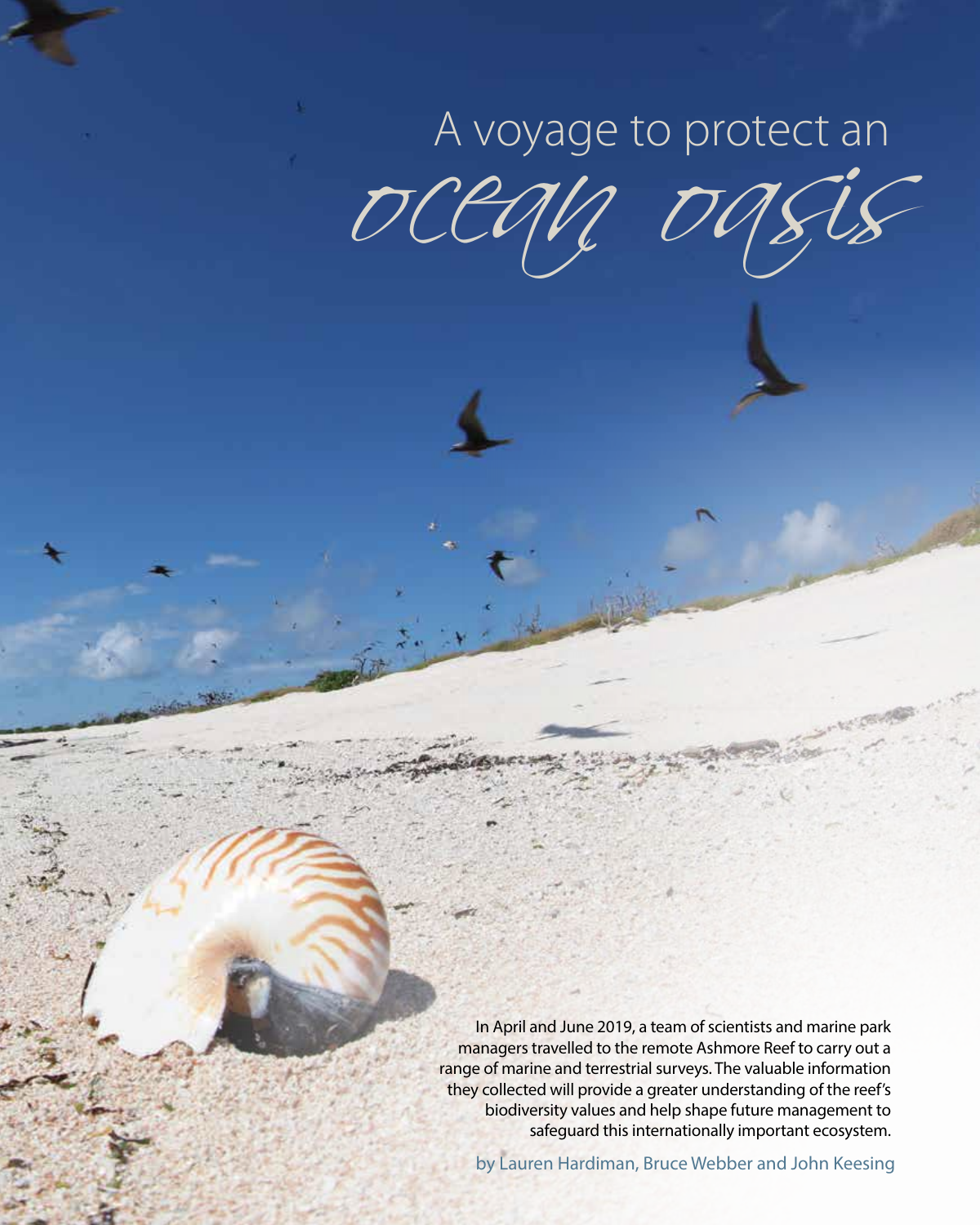# *ocean oasis* A voyage to protect an

In April and June 2019, a team of scientists and marine park managers travelled to the remote Ashmore Reef to carry out a range of marine and terrestrial surveys. The valuable information they collected will provide a greater understanding of the reef's biodiversity values and help shape future management to safeguard this internationally important ecosystem.

by Lauren Hardiman, Bruce Webber and John Keesing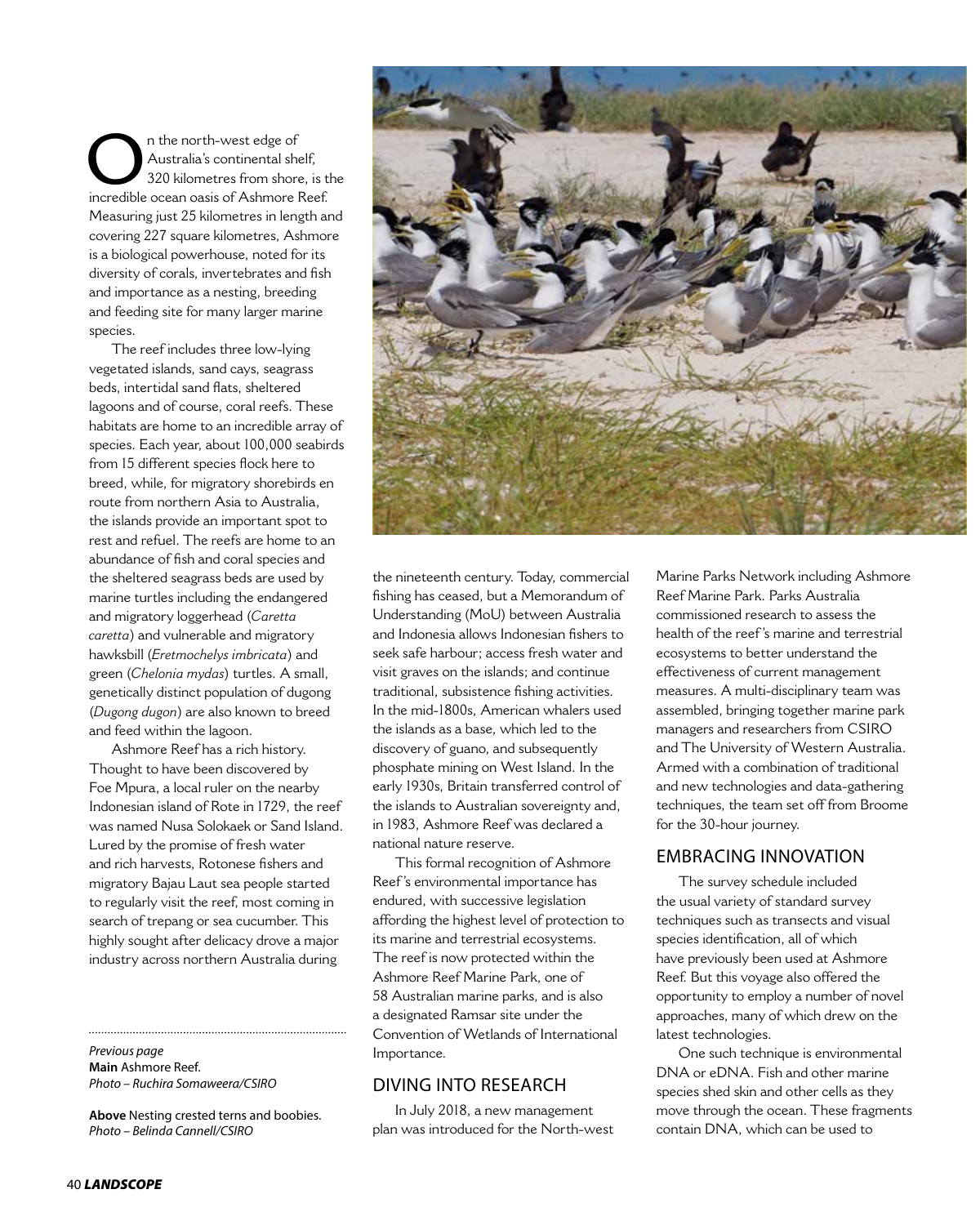**O**n the north-west edge of Australia's continental shelf, 320 kilometres from shore, is the incredible ocean oasis of Ashmore Reef. Measuring just 25 kilometres in length and covering 227 square kilometres, Ashmore is a biological powerhouse, noted for its diversity of corals, invertebrates and fish and importance as a nesting, breeding and feeding site for many larger marine species.

The reef includes three low-lying vegetated islands, sand cays, seagrass beds, intertidal sand flats, sheltered lagoons and of course, coral reefs. These habitats are home to an incredible array of species. Each year, about 100,000 seabirds from 15 different species flock here to breed, while, for migratory shorebirds en route from northern Asia to Australia, the islands provide an important spot to rest and refuel. The reefs are home to an abundance of fish and coral species and the sheltered seagrass beds are used by marine turtles including the endangered and migratory loggerhead (*Caretta caretta*) and vulnerable and migratory hawksbill (*Eretmochelys imbricata*) and green (*Chelonia mydas*) turtles. A small, genetically distinct population of dugong (*Dugong dugon*) are also known to breed and feed within the lagoon.

Ashmore Reef has a rich history. Thought to have been discovered by Foe Mpura, a local ruler on the nearby Indonesian island of Rote in 1729, the reef was named Nusa Solokaek or Sand Island. Lured by the promise of fresh water and rich harvests, Rotonese fishers and migratory Bajau Laut sea people started to regularly visit the reef, most coming in search of trepang or sea cucumber. This highly sought after delicacy drove a major industry across northern Australia during

*Previous page* **Main** Ashmore Reef. *Photo – Ruchira Somaweera/CSIRO*

**Above** Nesting crested terns and boobies. *Photo – Belinda Cannell/CSIRO*



the nineteenth century. Today, commercial fishing has ceased, but a Memorandum of Understanding (MoU) between Australia and Indonesia allows Indonesian fishers to seek safe harbour; access fresh water and visit graves on the islands; and continue traditional, subsistence fishing activities. In the mid-1800s, American whalers used the islands as a base, which led to the discovery of guano, and subsequently phosphate mining on West Island. In the early 1930s, Britain transferred control of the islands to Australian sovereignty and, in 1983, Ashmore Reef was declared a national nature reserve.

This formal recognition of Ashmore Reef 's environmental importance has endured, with successive legislation affording the highest level of protection to its marine and terrestrial ecosystems. The reef is now protected within the Ashmore Reef Marine Park, one of 58 Australian marine parks, and is also a designated Ramsar site under the Convention of Wetlands of International Importance.

# DIVING INTO RESEARCH

In July 2018, a new management plan was introduced for the North-west Marine Parks Network including Ashmore Reef Marine Park. Parks Australia commissioned research to assess the health of the reef 's marine and terrestrial ecosystems to better understand the effectiveness of current management measures. A multi-disciplinary team was assembled, bringing together marine park managers and researchers from CSIRO and The University of Western Australia. Armed with a combination of traditional and new technologies and data-gathering techniques, the team set off from Broome for the 30-hour journey.

# EMBRACING INNOVATION

The survey schedule included the usual variety of standard survey techniques such as transects and visual species identification, all of which have previously been used at Ashmore Reef. But this voyage also offered the opportunity to employ a number of novel approaches, many of which drew on the latest technologies.

One such technique is environmental DNA or eDNA. Fish and other marine species shed skin and other cells as they move through the ocean. These fragments contain DNA, which can be used to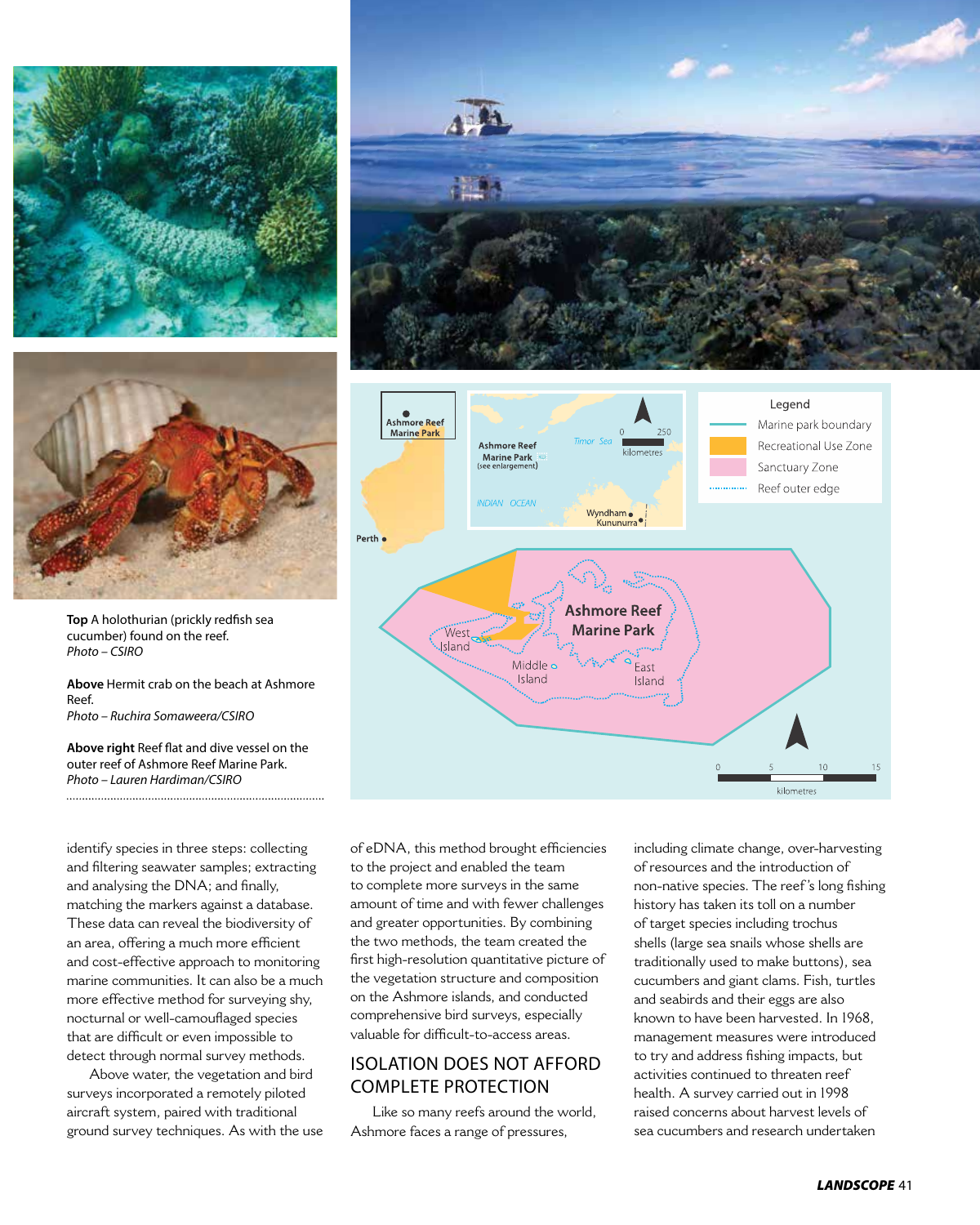



**Top** A holothurian (prickly redfish sea cucumber) found on the reef. *Photo – CSIRO*

**Above** Hermit crab on the beach at Ashmore Reef.

*Photo – Ruchira Somaweera/CSIRO*

**Above right** Reef flat and dive vessel on the outer reef of Ashmore Reef Marine Park. *Photo – Lauren Hardiman/CSIRO*

identify species in three steps: collecting and filtering seawater samples; extracting and analysing the DNA; and finally, matching the markers against a database. These data can reveal the biodiversity of an area, offering a much more efficient and cost-effective approach to monitoring marine communities. It can also be a much more effective method for surveying shy, nocturnal or well-camouflaged species that are difficult or even impossible to detect through normal survey methods.

Above water, the vegetation and bird surveys incorporated a remotely piloted aircraft system, paired with traditional ground survey techniques. As with the use of eDNA, this method brought efficiencies to the project and enabled the team to complete more surveys in the same amount of time and with fewer challenges and greater opportunities. By combining the two methods, the team created the first high-resolution quantitative picture of the vegetation structure and composition on the Ashmore islands, and conducted comprehensive bird surveys, especially valuable for difficult-to-access areas.

# ISOLATION DOES NOT AFFORD COMPLETE PROTECTION

Like so many reefs around the world, Ashmore faces a range of pressures,

including climate change, over-harvesting of resources and the introduction of non-native species. The reef 's long fishing history has taken its toll on a number of target species including trochus shells (large sea snails whose shells are traditionally used to make buttons), sea cucumbers and giant clams. Fish, turtles and seabirds and their eggs are also known to have been harvested. In 1968, management measures were introduced to try and address fishing impacts, but activities continued to threaten reef health. A survey carried out in 1998 raised concerns about harvest levels of sea cucumbers and research undertaken



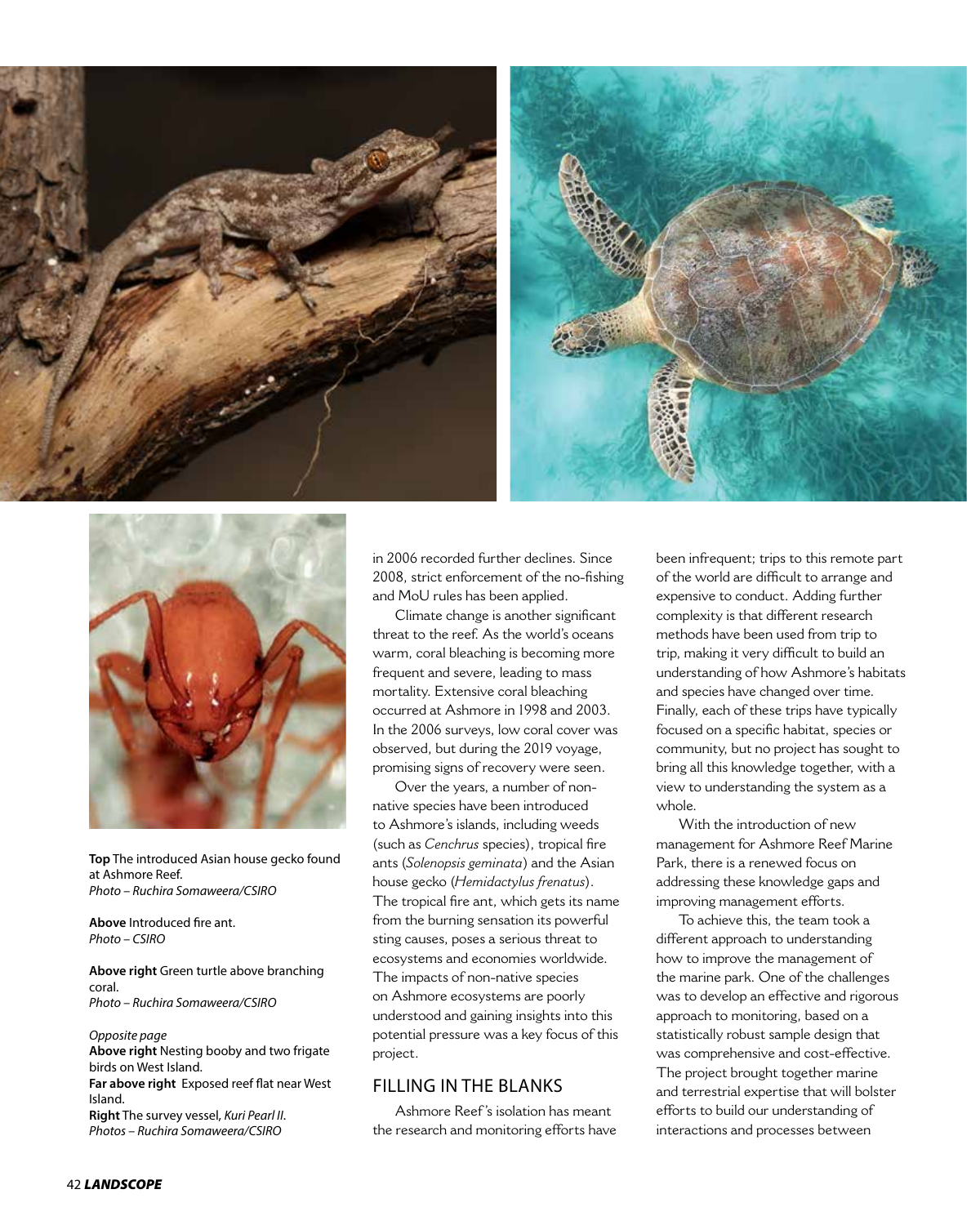



**Top** The introduced Asian house gecko found at Ashmore Reef. *Photo – Ruchira Somaweera/CSIRO*

**Above** Introduced fire ant. *Photo – CSIRO*

**Above right** Green turtle above branching coral. *Photo – Ruchira Somaweera/CSIRO*

*Opposite page* **Above right** Nesting booby and two frigate birds on West Island. **Far above right** Exposed reef flat near West Island. **Right** The survey vessel, *Kuri Pearl II*. *Photos – Ruchira Somaweera/CSIRO*

in 2006 recorded further declines. Since 2008, strict enforcement of the no-fishing and MoU rules has been applied.

Climate change is another significant threat to the reef. As the world's oceans warm, coral bleaching is becoming more frequent and severe, leading to mass mortality. Extensive coral bleaching occurred at Ashmore in 1998 and 2003. In the 2006 surveys, low coral cover was observed, but during the 2019 voyage, promising signs of recovery were seen.

Over the years, a number of nonnative species have been introduced to Ashmore's islands, including weeds (such as *Cenchrus* species), tropical fire ants (*Solenopsis geminata*) and the Asian house gecko (*Hemidactylus frenatus*). The tropical fire ant, which gets its name from the burning sensation its powerful sting causes, poses a serious threat to ecosystems and economies worldwide. The impacts of non-native species on Ashmore ecosystems are poorly understood and gaining insights into this potential pressure was a key focus of this project.

# FILLING IN THE BLANKS

Ashmore Reef 's isolation has meant the research and monitoring efforts have been infrequent; trips to this remote part of the world are difficult to arrange and expensive to conduct. Adding further complexity is that different research methods have been used from trip to trip, making it very difficult to build an understanding of how Ashmore's habitats and species have changed over time. Finally, each of these trips have typically focused on a specific habitat, species or community, but no project has sought to bring all this knowledge together, with a view to understanding the system as a whole.

With the introduction of new management for Ashmore Reef Marine Park, there is a renewed focus on addressing these knowledge gaps and improving management efforts.

To achieve this, the team took a different approach to understanding how to improve the management of the marine park. One of the challenges was to develop an effective and rigorous approach to monitoring, based on a statistically robust sample design that was comprehensive and cost-effective. The project brought together marine and terrestrial expertise that will bolster efforts to build our understanding of interactions and processes between